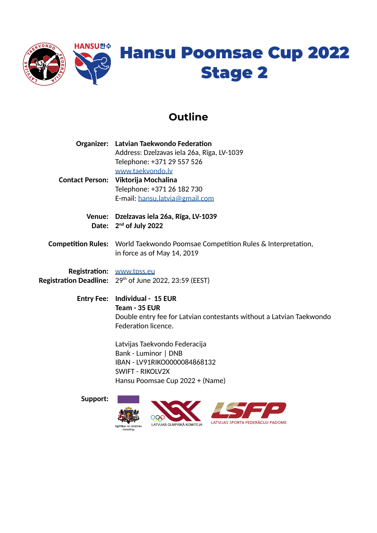

## **Outline**

| <b>Organizer: Latvian Taekwondo Federation</b>                                        |  |  |
|---------------------------------------------------------------------------------------|--|--|
| Address: Dzelzavas iela 26a, Rīga, LV-1039                                            |  |  |
| Telephone: +371 29 557 526                                                            |  |  |
| www.taekvondo.ly                                                                      |  |  |
| Contact Person: Viktorija Mochalina                                                   |  |  |
| Telephone: +371 26 182 730                                                            |  |  |
| E-mail: hansu.latvia@gmail.com                                                        |  |  |
| Venue: Dzelzavas iela 26a, Rīga, LV-1039                                              |  |  |
| Date: $2^{nd}$ of July 2022                                                           |  |  |
| <b>Competition Rules:</b> World Taekwondo Poomsae Competition Rules & Interpretation, |  |  |
| in force as of May 14, 2019                                                           |  |  |
| Registration: www.tpss.eu                                                             |  |  |
| <b>Registration Deadline:</b> $29th$ of June 2022, 23:59 (EEST)                       |  |  |
| Entry Fee: Individual - 15 EUR                                                        |  |  |
| Team - 35 EUR                                                                         |  |  |
| Double entry fee for Latvian contestants without a Latvian Taekwondo                  |  |  |
| Federation licence.                                                                   |  |  |
|                                                                                       |  |  |

Latvijas Taekvondo Federacija Bank - Luminor | DNB IBAN - LV91RIKO0000084868132 SWIFT - RIKOLV2X Hansu Poomsae Cup 2022 + (Name)

**Support:**

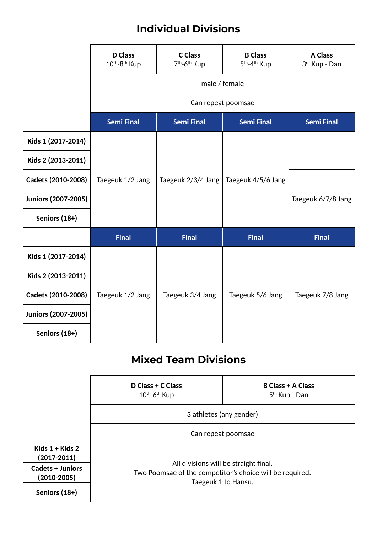## **Individual Divisions**

|                     | <b>D</b> Class<br>10th-8th Kup | <b>C</b> Class<br>7 <sup>th</sup> -6 <sup>th</sup> Kup | <b>B</b> Class<br>5 <sup>th</sup> -4 <sup>th</sup> Kup | <b>A Class</b><br>3rd Kup - Dan |  |
|---------------------|--------------------------------|--------------------------------------------------------|--------------------------------------------------------|---------------------------------|--|
|                     | male / female                  |                                                        |                                                        |                                 |  |
|                     | Can repeat poomsae             |                                                        |                                                        |                                 |  |
|                     | <b>Semi Final</b>              | <b>Semi Final</b>                                      | <b>Semi Final</b>                                      | <b>Semi Final</b>               |  |
| Kids 1 (2017-2014)  | Taegeuk 1/2 Jang               | Taegeuk 2/3/4 Jang                                     | Taegeuk 4/5/6 Jang                                     |                                 |  |
| Kids 2 (2013-2011)  |                                |                                                        |                                                        |                                 |  |
| Cadets (2010-2008)  |                                |                                                        |                                                        |                                 |  |
| Juniors (2007-2005) |                                |                                                        |                                                        | Taegeuk 6/7/8 Jang              |  |
| Seniors (18+)       |                                |                                                        |                                                        |                                 |  |
|                     | <b>Final</b>                   | <b>Final</b>                                           | <b>Final</b>                                           | <b>Final</b>                    |  |
| Kids 1 (2017-2014)  |                                |                                                        |                                                        |                                 |  |
| Kids 2 (2013-2011)  |                                |                                                        |                                                        |                                 |  |
| Cadets (2010-2008)  | Taegeuk 1/2 Jang               | Taegeuk 3/4 Jang                                       | Taegeuk 5/6 Jang                                       | Taegeuk 7/8 Jang                |  |
| Juniors (2007-2005) |                                |                                                        |                                                        |                                 |  |
| Seniors (18+)       |                                |                                                        |                                                        |                                 |  |

## **Mixed Team Divisions**

|                                            | D Class + C Class<br>$10^{th}$ -6 <sup>th</sup> Kup                                                                      | <b>B Class + A Class</b><br>5 <sup>th</sup> Kup - Dan |  |  |  |
|--------------------------------------------|--------------------------------------------------------------------------------------------------------------------------|-------------------------------------------------------|--|--|--|
|                                            | 3 athletes (any gender)                                                                                                  |                                                       |  |  |  |
|                                            | Can repeat poomsae                                                                                                       |                                                       |  |  |  |
| Kids $1 +$ Kids 2<br>$(2017 - 2011)$       |                                                                                                                          |                                                       |  |  |  |
| <b>Cadets + Juniors</b><br>$(2010 - 2005)$ | All divisions will be straight final.<br>Two Poomsae of the competitor's choice will be required.<br>Taegeuk 1 to Hansu. |                                                       |  |  |  |
| Seniors (18+)                              |                                                                                                                          |                                                       |  |  |  |